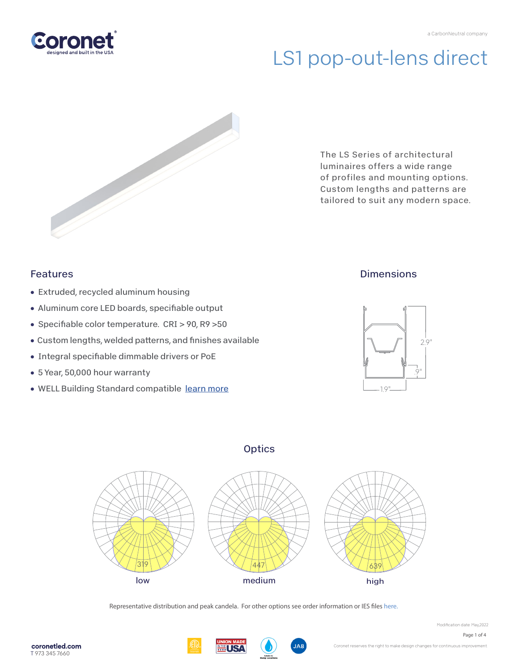

# LS1 pop-out-lens direct



The LS Series of architectural luminaires offers a wide range of profiles and mounting options. Custom lengths and patterns are tailored to suit any modern space.

### Features

- Extruded, recycled aluminum housing
- Aluminum core LED boards, specifiable output
- Specifiable color temperature. CRI > 90, R9 > 50
- Custom lengths, welded patterns, and finishes available
- Integral specifiable dimmable drivers or PoE
- 5 Year, 50,000 hour warranty
- WELL Building Standard compatibl[e learn more](https://coronetled.com/well-v2-standard/)

## **Dimensions**



### **Optics**



Representative distribution and peak candela. For other options see order information or IES file[s here.](https://coronetled.com/downloads/)





Modification date: May 2022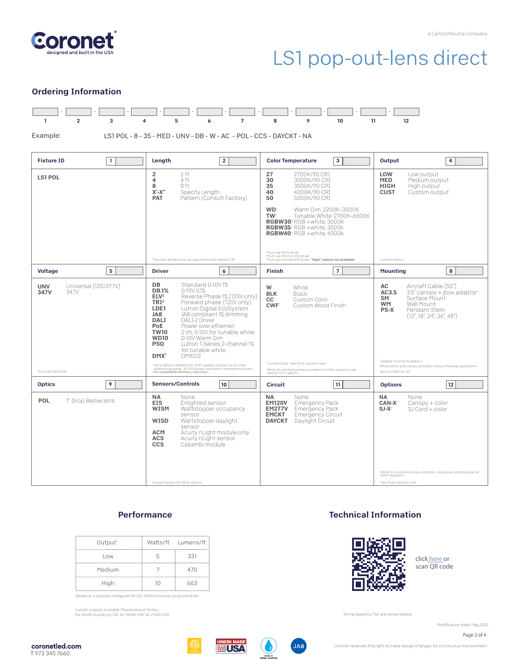

## LS1 pop-out-lens direct

#### Ordering Information



Example:

LS1 POL - 8 - 35 - MED - UNV - DB - W - AC - POL - CCS - DAYCKT - NA

| <b>Fixture ID</b><br>1                             | Length<br>$\overline{2}$                                                                                                                                                                                                                                                                                                                                                                                                                                                                            | 3<br><b>Color Temperature</b>                                                                                                                                                                                                                                                                                              | Output<br>4                                                                                                                                                                                                            |
|----------------------------------------------------|-----------------------------------------------------------------------------------------------------------------------------------------------------------------------------------------------------------------------------------------------------------------------------------------------------------------------------------------------------------------------------------------------------------------------------------------------------------------------------------------------------|----------------------------------------------------------------------------------------------------------------------------------------------------------------------------------------------------------------------------------------------------------------------------------------------------------------------------|------------------------------------------------------------------------------------------------------------------------------------------------------------------------------------------------------------------------|
| <b>LS1 POL</b>                                     | 2 ft<br>2<br>4 ft<br>4<br>8 ft<br>8<br>$X'$ - $X''$<br>Specify Length<br>Pattern (Consult Factory)<br><b>PAT</b>                                                                                                                                                                                                                                                                                                                                                                                    | 27<br>2700K/90 CRI<br>30<br>3000K/90 CRI<br>35<br>3500K/90 CRI<br>40<br>4000K/90 CRI<br>5000K/90 CRT<br>50<br><b>WD</b><br>Warm Dim 2200K-3000K<br>TW <sup>2</sup><br>Tunable White 2700K-6500K<br>RGBW30 <sup>3</sup> RGB +white. 3000k<br>RGBW35 <sup>3</sup> RGB +white, 3500k<br>RGBW40 <sup>3</sup> RGB +white, 4000k | LOW<br>Low output<br><b>MED</b><br>Medium output<br><b>HIGH</b><br>High output<br><b>CUST</b><br>Custom output <sup>1</sup>                                                                                            |
|                                                    | 'Precision lengths may be specified to the nearest 1/8".                                                                                                                                                                                                                                                                                                                                                                                                                                            | 'Must use WD10 driver.<br><sup>2</sup> Must use TW10 or PSQdriver.<br><sup>3</sup> Must use remote DMX driver. "High" output not available.                                                                                                                                                                                | 'consult factory                                                                                                                                                                                                       |
| 5<br><b>Voltage</b>                                | <b>Driver</b><br>6                                                                                                                                                                                                                                                                                                                                                                                                                                                                                  | $\overline{7}$<br><b>Finish</b>                                                                                                                                                                                                                                                                                            | 8<br><b>Mounting</b>                                                                                                                                                                                                   |
| Universal (120/277V)<br><b>UNV</b><br>347V<br>347V | DB<br>Standard 0-10V1%<br><b>DB.1%</b><br>$0-10V$ $01%$<br>ELV <sup>2</sup><br>Reverse Phase 1% (120V only)<br>TRI <sup>2</sup><br>Forward phase (120V only)<br>Lutron Digital EcoSystem<br>LDE1<br>JA8<br>JA8 compliant 1% dimming<br><b>DALI</b><br><b>DALI-2 Driver</b><br>Power over ethernet.<br>PoE<br>2 ch, 0-10V for tunable white.<br><b>TW10</b><br>0-10V Warm Dim<br><b>WD10</b><br>Lutron T-Series 2-channel 1%<br><b>PSO</b><br>for tunable white<br><b>DMX512</b><br>DMX <sup>1</sup> | White<br>W<br><b>BLK</b><br>Black<br>CC <sup>1</sup><br>Custom Color<br>CWF <sup>1</sup><br>Custom Wood Finish                                                                                                                                                                                                             | AC<br>Aircraft Cable (50")<br>AC3.5<br>$3.5''$ canopy + jbox adaptor<br>Surface Mount<br>SM<br><b>WM</b><br>Wall Mount<br>PS-X<br>Pendant Stem<br>(12'', 18'', 24'', 36'', 48'')<br>'Adaptor must be mudded-in         |
| 'Must use DB Driver                                | 'Set to default address 001.RDM capable. Contact us for other<br>addressing needs. All DMX drivers provided in remote enclosuers.<br><sup>2</sup> For compatible dimmers, click here.                                                                                                                                                                                                                                                                                                               | 'Custom Color. See finish options here.<br>White SJ cord and canopy provided; for other requests, see<br>section 12 to specify                                                                                                                                                                                             | White stems and canopy provided unless otherwise specified in<br>options (section 12).                                                                                                                                 |
| <b>Optics</b><br>9                                 | <b>Sensors/Controls</b><br>10                                                                                                                                                                                                                                                                                                                                                                                                                                                                       | 11<br><b>Circuit</b>                                                                                                                                                                                                                                                                                                       | 12 <sup>2</sup><br><b>Options</b>                                                                                                                                                                                      |
| POL<br>1" Drop Below lens                          | <b>NA</b><br>None<br><b>EIS</b><br>Enlighted sensor<br><b>WISM</b><br>Wattstopper occupancy<br>sensor<br><b>WISD</b><br>Wattstopper daylight<br>sensor<br><b>ACM</b><br>Acuity nLight module only<br>Acuity nLight sensor<br><b>ACS</b><br><b>CCS</b><br>Casambi module<br>Consult factory for other options.                                                                                                                                                                                       | <b>NA</b><br>None<br><b>EM120V</b><br><b>Emergency Pack</b><br><b>EM277V</b><br><b>Emergency Pack</b><br><b>EMCKT</b><br>Emergency Circuit<br>Daylight Circuit<br><b>DAYCKT</b>                                                                                                                                            | <b>NA</b><br>None<br>CAN-X <sup>1</sup><br>Canopy + color<br>$SI-X^2$<br>SJ Cord + color<br>'White SJ cord and canopy provided; use above nomenclature for<br>other requests.<br><sup>2</sup> See finish options here. |

#### **Performance**

| Output <sup>1</sup> |    | Watts/ft Lumens/ft |
|---------------------|----|--------------------|
| Low                 | 5  | 331                |
| Medium              |    | 470                |
| High                | 10 | 663                |

'Based on a typically configured 90 CRI, 3500K luminaire using one driver.

Custom outputs available. Please consult factory. For 4000K multiply by 1.05; for 3000K 0.96; for 2700K, 0.92.

#### Technical Information



click [here or](https://coronetled.com/warranty-technical-info/) scan QR code

Wiring diagrams, PoE and sensor details

Modification date: May,2022

Page 2 of 4





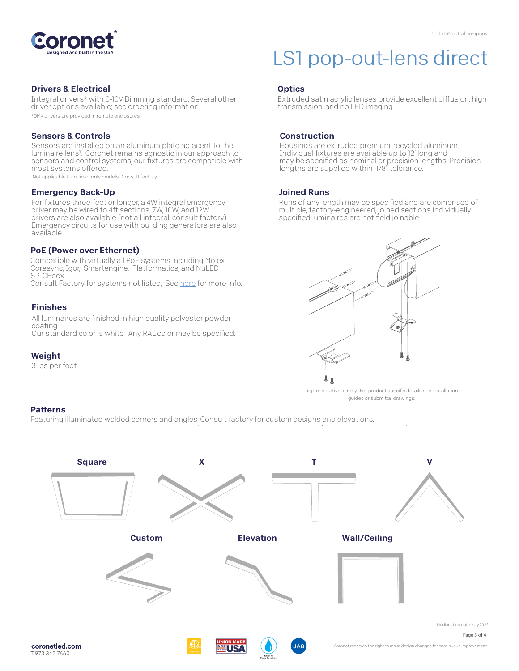

#### Drivers & Electrical

Integral drivers\* with 0-10V Dimming standard. Several other driver options available; see ordering information. \*DMX drivers are provided in remote enclosures.

#### Sensors & Controls

Sensors are installed on an aluminum plate adjacent to the luminaire lens1. Coronet remains agnostic in our approach to sensors and control systems; our fixtures are compatible with most systems offered.

1Not applicable to indirect only models. Consult factory.

#### Emergency Back-Up

For fixtures three-feet or longer, a 4W integral emergency driver may be wired to 4ft sections. 7W, 10W, and 12W drivers are also available (not all integral; consult factory). Emergency circuits for use with building generators are also available.

#### PoE (Power over Ethernet)

Compatible with virtually all PoE systems including Molex Coresync, Igor, Smartengine, Platformatics, and NuLED SPICEbox. Consult Factory for systems not listed, See [here f](https://coronetled.com/warranty-technical-info/)or more info.

#### Finishes

All luminaires are finished in high quality polyester powder coating. Our standard color is white. Any RAL color may be specified.

#### Weight

3 lbs per foot

## LS1 pop-out-lens direct

#### **Optics**

Extruded satin acrylic lenses provide excellent diffusion, high transmission, and no LED imaging.

#### Construction

Housings are extruded premium, recycled aluminum. Individual fixtures are available up to 12' long and may be specified as nominal or precision lengths. Precision lengths are supplied within 1/8" tolerance.

#### Joined Runs

Runs of any length may be specified and are comprised of multiple, factory-engineered, joined sections. Individually specified luminaires are not field joinable.



Representative joinery. For product specific details see installation guides or submittal drawings.

#### **Patterns**

Featuring illuminated welded corners and angles. Consult factory for custom designs and elevations.